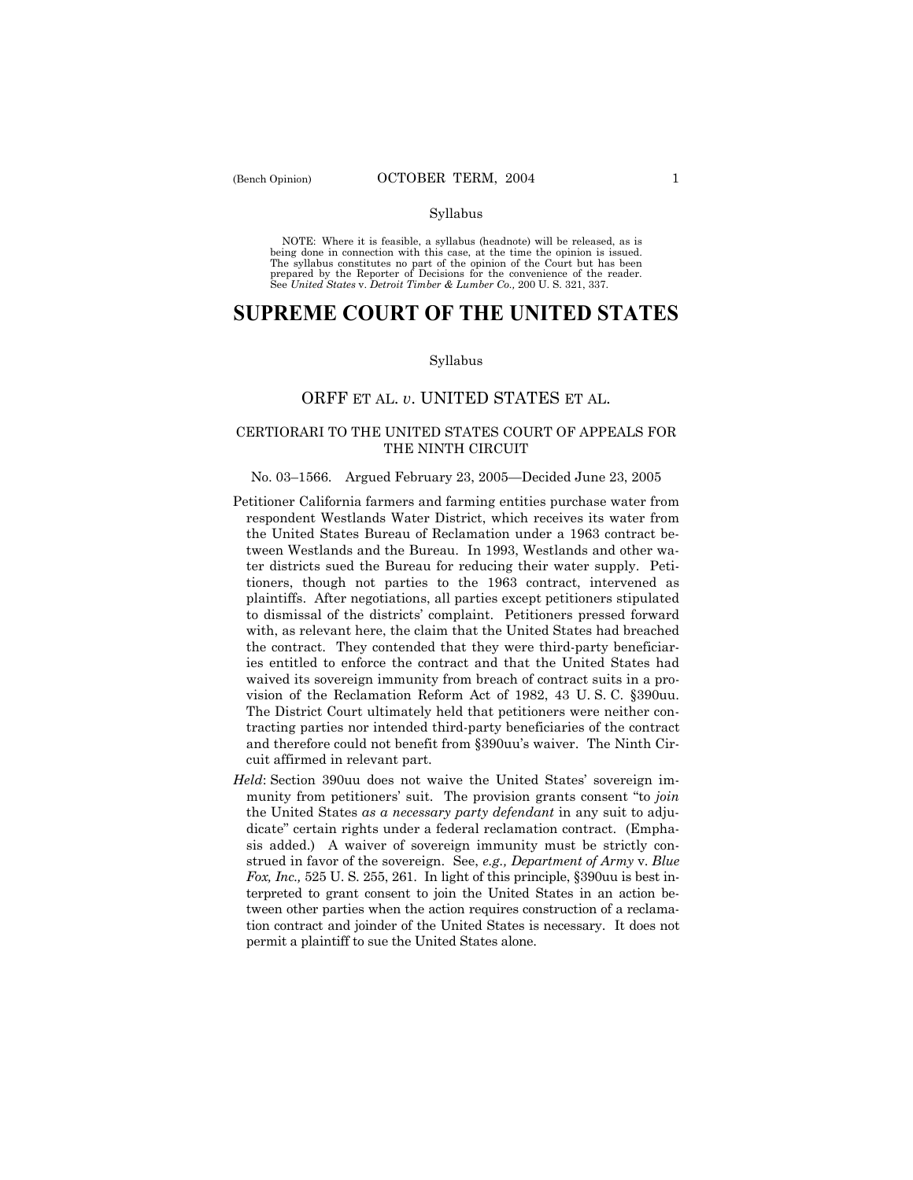#### Syllabus

NOTE: Where it is feasible, a syllabus (headnote) will be released, as is being done in connection with this case, at the time the opinion is issued. The syllabus constitutes no part of the opinion of the Court but has been<br>prepared by the Reporter of Decisions for the convenience of the reader.<br>See United States v. Detroit Timber & Lumber Co., 200 U. S. 321, 337.

# **SUPREME COURT OF THE UNITED STATES**

#### Syllabus

# ORFF ET AL. *v*. UNITED STATES ET AL.

# CERTIORARI TO THE UNITED STATES COURT OF APPEALS FOR THE NINTH CIRCUIT

#### No. 03–1566. Argued February 23, 2005–Decided June 23, 2005

- Petitioner California farmers and farming entities purchase water from respondent Westlands Water District, which receives its water from the United States Bureau of Reclamation under a 1963 contract between Westlands and the Bureau. In 1993, Westlands and other water districts sued the Bureau for reducing their water supply. Petitioners, though not parties to the 1963 contract, intervened as plaintiffs. After negotiations, all parties except petitioners stipulated to dismissal of the districts' complaint. Petitioners pressed forward with, as relevant here, the claim that the United States had breached the contract. They contended that they were third-party beneficiaries entitled to enforce the contract and that the United States had waived its sovereign immunity from breach of contract suits in a provision of the Reclamation Reform Act of 1982, 43 U. S. C. ß390uu. The District Court ultimately held that petitioners were neither contracting parties nor intended third-party beneficiaries of the contract and therefore could not benefit from ß390uuís waiver. The Ninth Circuit affirmed in relevant part.
- *Held*: Section 390uu does not waive the United States' sovereign immunity from petitioners' suit. The provision grants consent "to *join* the United States *as a necessary party defendant* in any suit to adjudicate" certain rights under a federal reclamation contract. (Emphasis added.) A waiver of sovereign immunity must be strictly construed in favor of the sovereign. See, *e.g., Department of Army* v. *Blue Fox, Inc.,* 525 U. S. 255, 261. In light of this principle, §390uu is best interpreted to grant consent to join the United States in an action between other parties when the action requires construction of a reclamation contract and joinder of the United States is necessary. It does not permit a plaintiff to sue the United States alone.